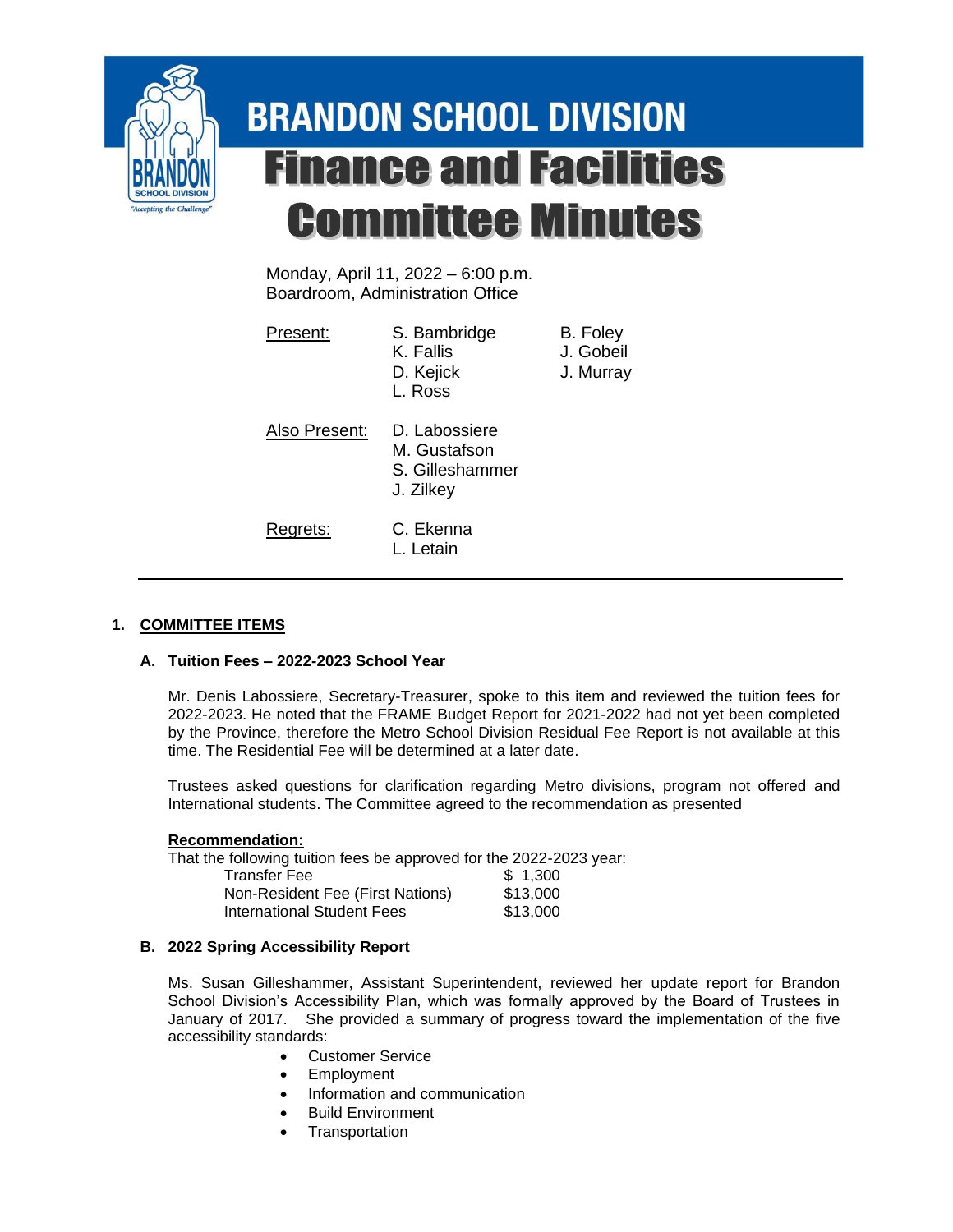

# **BRANDON SCHOOL DIVISION Finance and Facilities Committee Minutes**

Monday, April 11, 2022 – 6:00 p.m. Boardroom, Administration Office

| Present:      | S. Bambridge<br>K. Fallis<br>D. Kejick<br>L. Ross             | B. Foley<br>J. Gobeil<br>J. Murray |
|---------------|---------------------------------------------------------------|------------------------------------|
| Also Present: | D. Labossiere<br>M. Gustafson<br>S. Gilleshammer<br>J. Zilkey |                                    |
| Regrets:      | C. Ekenna<br>L. Letain                                        |                                    |

## **1. COMMITTEE ITEMS**

## **A. Tuition Fees – 2022-2023 School Year**

Mr. Denis Labossiere, Secretary-Treasurer, spoke to this item and reviewed the tuition fees for 2022-2023. He noted that the FRAME Budget Report for 2021-2022 had not yet been completed by the Province, therefore the Metro School Division Residual Fee Report is not available at this time. The Residential Fee will be determined at a later date.

Trustees asked questions for clarification regarding Metro divisions, program not offered and International students. The Committee agreed to the recommendation as presented

### **Recommendation:**

That the following tuition fees be approved for the 2022-2023 year:

| <b>Transfer Fee</b>              | \$1.300  |
|----------------------------------|----------|
| Non-Resident Fee (First Nations) | \$13,000 |
| International Student Fees       | \$13,000 |

## **B. 2022 Spring Accessibility Report**

Ms. Susan Gilleshammer, Assistant Superintendent, reviewed her update report for Brandon School Division's Accessibility Plan, which was formally approved by the Board of Trustees in January of 2017. She provided a summary of progress toward the implementation of the five accessibility standards:

- Customer Service
- **Employment**
- Information and communication
- Build Environment
- **Transportation**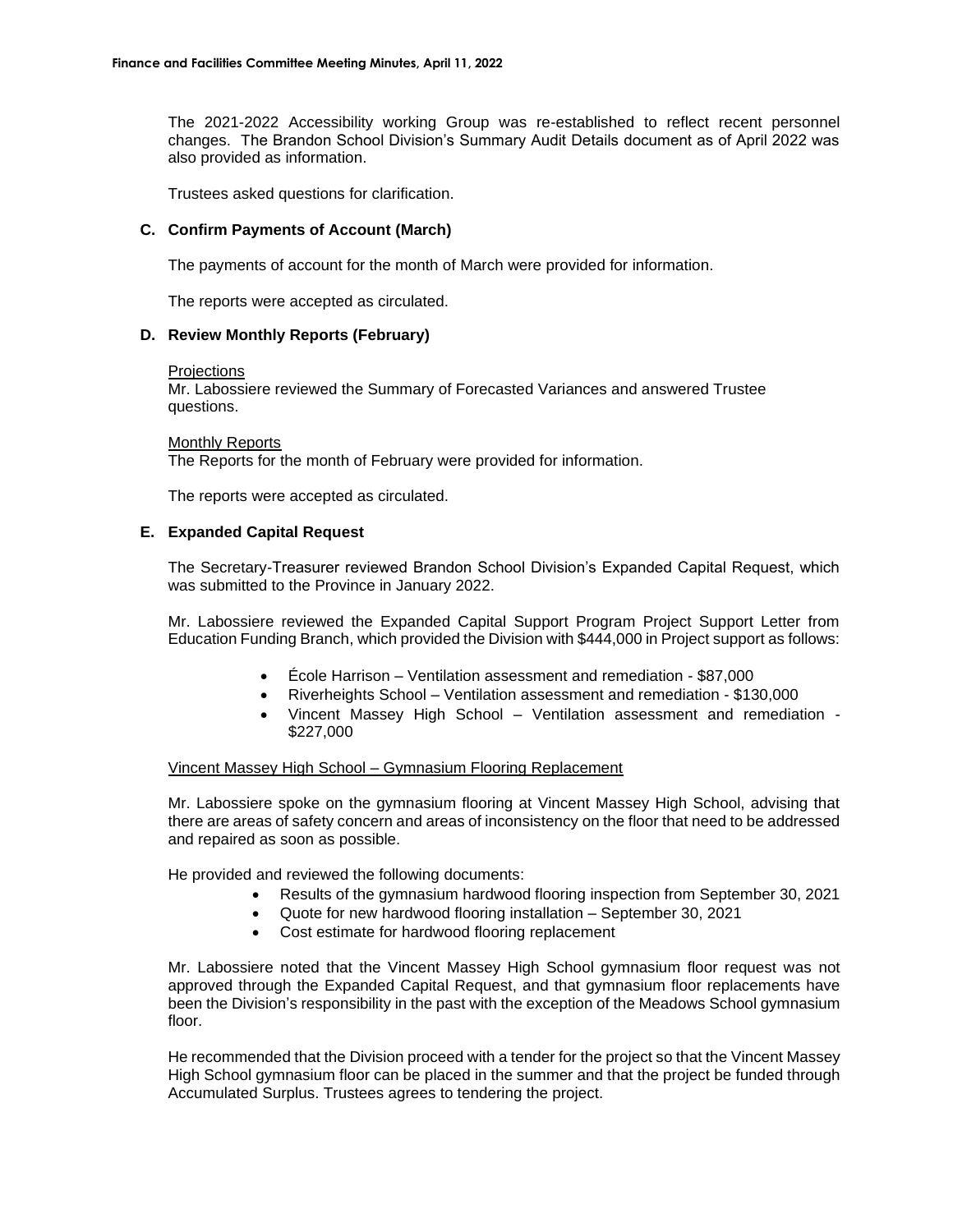The 2021-2022 Accessibility working Group was re-established to reflect recent personnel changes. The Brandon School Division's Summary Audit Details document as of April 2022 was also provided as information.

Trustees asked questions for clarification.

#### **C. Confirm Payments of Account (March)**

The payments of account for the month of March were provided for information.

The reports were accepted as circulated.

#### **D. Review Monthly Reports (February)**

#### **Projections**

Mr. Labossiere reviewed the Summary of Forecasted Variances and answered Trustee questions.

Monthly Reports The Reports for the month of February were provided for information.

The reports were accepted as circulated.

#### **E. Expanded Capital Request**

The Secretary-Treasurer reviewed Brandon School Division's Expanded Capital Request, which was submitted to the Province in January 2022.

Mr. Labossiere reviewed the Expanded Capital Support Program Project Support Letter from Education Funding Branch, which provided the Division with \$444,000 in Project support as follows:

- École Harrison Ventilation assessment and remediation \$87,000
- Riverheights School Ventilation assessment and remediation \$130,000
- Vincent Massey High School Ventilation assessment and remediation \$227,000

#### Vincent Massey High School – Gymnasium Flooring Replacement

Mr. Labossiere spoke on the gymnasium flooring at Vincent Massey High School, advising that there are areas of safety concern and areas of inconsistency on the floor that need to be addressed and repaired as soon as possible.

He provided and reviewed the following documents:

- Results of the gymnasium hardwood flooring inspection from September 30, 2021
- Quote for new hardwood flooring installation September 30, 2021
- Cost estimate for hardwood flooring replacement

Mr. Labossiere noted that the Vincent Massey High School gymnasium floor request was not approved through the Expanded Capital Request, and that gymnasium floor replacements have been the Division's responsibility in the past with the exception of the Meadows School gymnasium floor.

He recommended that the Division proceed with a tender for the project so that the Vincent Massey High School gymnasium floor can be placed in the summer and that the project be funded through Accumulated Surplus. Trustees agrees to tendering the project.